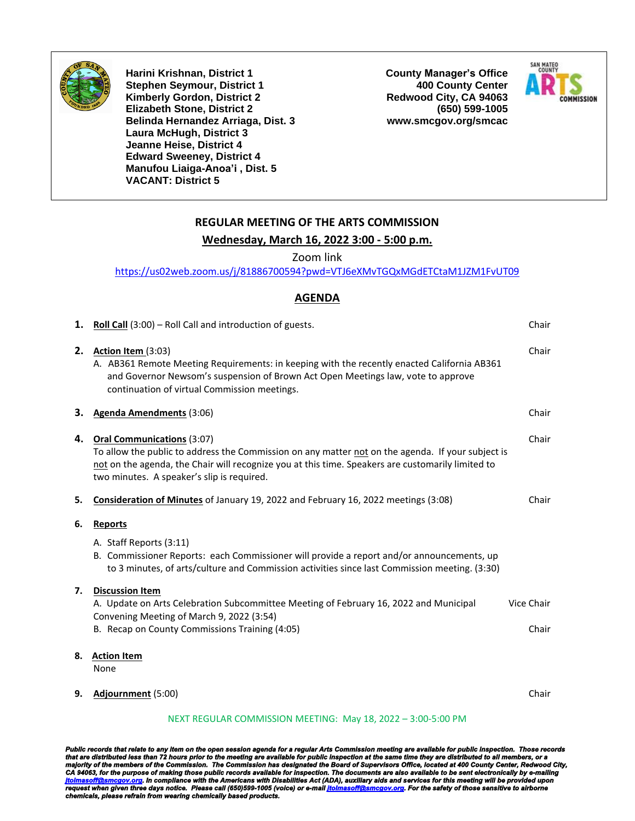

**Harini Krishnan, District 1 Stephen Seymour, District 1 Kimberly Gordon, District 2 Elizabeth Stone, District 2 Belinda Hernandez Arriaga, Dist. 3 Laura McHugh, District 3 Jeanne Heise, District 4 Edward Sweeney, District 4 Manufou Liaiga-Anoa'i , Dist. 5 VACANT: District 5**

**County Manager's Office 400 County Center Redwood City, CA 94063 (650) 599-1005 www.smcgov.org/smcac**



### **REGULAR MEETING OF THE ARTS COMMISSION**

### **Wednesday, March 16, 2022 3:00 - 5:00 p.m.**

Zoom link

<https://us02web.zoom.us/j/81886700594?pwd=VTJ6eXMvTGQxMGdETCtaM1JZM1FvUT09>

### **AGENDA**

| 1. | <b>Roll Call</b> $(3:00)$ – Roll Call and introduction of guests.                                                                                                                                                                                                                         | Chair      |
|----|-------------------------------------------------------------------------------------------------------------------------------------------------------------------------------------------------------------------------------------------------------------------------------------------|------------|
| 2. | Action Item (3:03)<br>A. AB361 Remote Meeting Requirements: in keeping with the recently enacted California AB361<br>and Governor Newsom's suspension of Brown Act Open Meetings law, vote to approve<br>continuation of virtual Commission meetings.                                     | Chair      |
| З. | Agenda Amendments (3:06)                                                                                                                                                                                                                                                                  | Chair      |
| 4. | <b>Oral Communications (3:07)</b><br>To allow the public to address the Commission on any matter not on the agenda. If your subject is<br>not on the agenda, the Chair will recognize you at this time. Speakers are customarily limited to<br>two minutes. A speaker's slip is required. | Chair      |
| 5. | Consideration of Minutes of January 19, 2022 and February 16, 2022 meetings (3:08)                                                                                                                                                                                                        | Chair      |
| 6. | <b>Reports</b>                                                                                                                                                                                                                                                                            |            |
|    | A. Staff Reports (3:11)<br>B. Commissioner Reports: each Commissioner will provide a report and/or announcements, up<br>to 3 minutes, of arts/culture and Commission activities since last Commission meeting. (3:30)                                                                     |            |
| 7. | <b>Discussion Item</b><br>A. Update on Arts Celebration Subcommittee Meeting of February 16, 2022 and Municipal                                                                                                                                                                           | Vice Chair |
|    | Convening Meeting of March 9, 2022 (3:54)                                                                                                                                                                                                                                                 |            |
|    | B. Recap on County Commissions Training (4:05)                                                                                                                                                                                                                                            | Chair      |
| 8. | <b>Action Item</b><br>None                                                                                                                                                                                                                                                                |            |
| 9. | Adjournment (5:00)                                                                                                                                                                                                                                                                        | Chair      |

#### NEXT REGULAR COMMISSION MEETING: May 18, 2022 – 3:00-5:00 PM

Public records that relate to any item on the open session agenda for a regular Arts Commission meeting are available for public inspection. Those records<br>that are distributed less than 72 hours prior to the meeting are av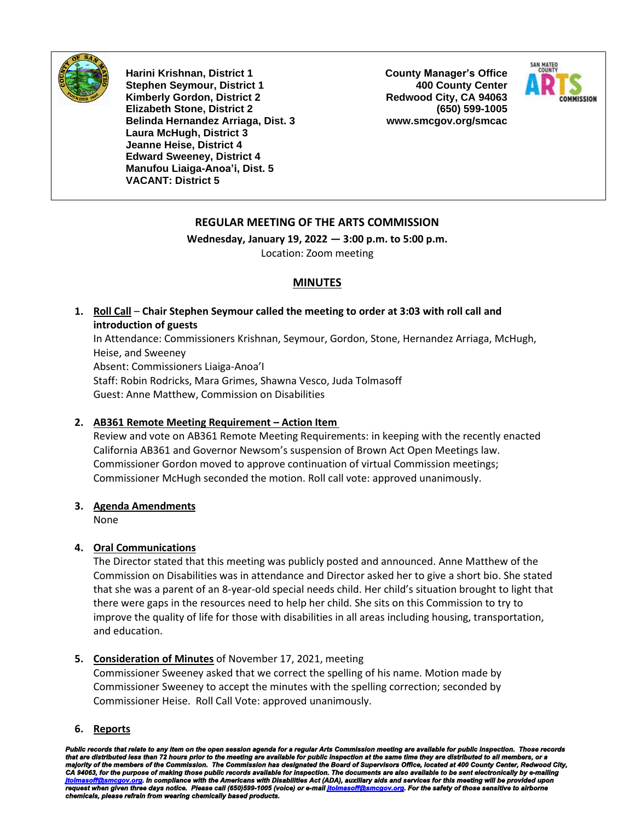

**Harini Krishnan, District 1 Stephen Seymour, District 1 Kimberly Gordon, District 2 Elizabeth Stone, District 2 Belinda Hernandez Arriaga, Dist. 3 Laura McHugh, District 3 Jeanne Heise, District 4 Edward Sweeney, District 4 Manufou Liaiga-Anoa'i, Dist. 5 VACANT: District 5**

**County Manager's Office 400 County Center Redwood City, CA 94063 (650) 599-1005 www.smcgov.org/smcac**



### **REGULAR MEETING OF THE ARTS COMMISSION**

**Wednesday, January 19, 2022 — 3:00 p.m. to 5:00 p.m.** Location: Zoom meeting

### **MINUTES**

**1. Roll Call** – **Chair Stephen Seymour called the meeting to order at 3:03 with roll call and introduction of guests**

In Attendance: Commissioners Krishnan, Seymour, Gordon, Stone, Hernandez Arriaga, McHugh, Heise, and Sweeney Absent: Commissioners Liaiga-Anoa'I Staff: Robin Rodricks, Mara Grimes, Shawna Vesco, Juda Tolmasoff

Guest: Anne Matthew, Commission on Disabilities

### **2. AB361 Remote Meeting Requirement – Action Item**

Review and vote on AB361 Remote Meeting Requirements: in keeping with the recently enacted California AB361 and Governor Newsom's suspension of Brown Act Open Meetings law. Commissioner Gordon moved to approve continuation of virtual Commission meetings; Commissioner McHugh seconded the motion. Roll call vote: approved unanimously.

### **3. Agenda Amendments**

None

### **4. Oral Communications**

The Director stated that this meeting was publicly posted and announced. Anne Matthew of the Commission on Disabilities was in attendance and Director asked her to give a short bio. She stated that she was a parent of an 8-year-old special needs child. Her child's situation brought to light that there were gaps in the resources need to help her child. She sits on this Commission to try to improve the quality of life for those with disabilities in all areas including housing, transportation, and education.

### **5. Consideration of Minutes** of November 17, 2021, meeting

Commissioner Sweeney asked that we correct the spelling of his name. Motion made by Commissioner Sweeney to accept the minutes with the spelling correction; seconded by Commissioner Heise. Roll Call Vote: approved unanimously.

**6. Reports**

Public records that relate to any item on the open session agenda for a regular Arts Commission meeting are available for public inspection. Those records<br>that are distributed less than 72 hours prior to the meeting are av *request when given three days notice. Please call (650)599-1005 (voice) or e-mai[l jtolmasoff@smcgov.org.](mailto:jtolmasoff@smcgov.org) For the safety of those sensitive to airborne chemicals, please refrain from wearing chemically based products.*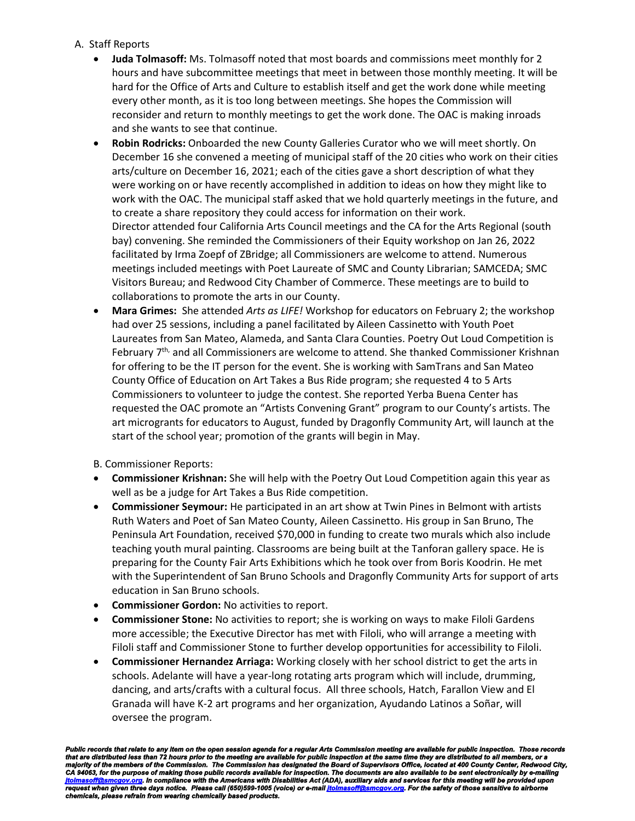### A. Staff Reports

- **Juda Tolmasoff:** Ms. Tolmasoff noted that most boards and commissions meet monthly for 2 hours and have subcommittee meetings that meet in between those monthly meeting. It will be hard for the Office of Arts and Culture to establish itself and get the work done while meeting every other month, as it is too long between meetings. She hopes the Commission will reconsider and return to monthly meetings to get the work done. The OAC is making inroads and she wants to see that continue.
- **Robin Rodricks:** Onboarded the new County Galleries Curator who we will meet shortly. On December 16 she convened a meeting of municipal staff of the 20 cities who work on their cities arts/culture on December 16, 2021; each of the cities gave a short description of what they were working on or have recently accomplished in addition to ideas on how they might like to work with the OAC. The municipal staff asked that we hold quarterly meetings in the future, and to create a share repository they could access for information on their work. Director attended four California Arts Council meetings and the CA for the Arts Regional (south bay) convening. She reminded the Commissioners of their Equity workshop on Jan 26, 2022 facilitated by Irma Zoepf of ZBridge; all Commissioners are welcome to attend. Numerous meetings included meetings with Poet Laureate of SMC and County Librarian; SAMCEDA; SMC Visitors Bureau; and Redwood City Chamber of Commerce. These meetings are to build to collaborations to promote the arts in our County.
- **Mara Grimes:** She attended *Arts as LIFE!* Workshop for educators on February 2; the workshop had over 25 sessions, including a panel facilitated by Aileen Cassinetto with Youth Poet Laureates from San Mateo, Alameda, and Santa Clara Counties. Poetry Out Loud Competition is February 7<sup>th,</sup> and all Commissioners are welcome to attend. She thanked Commissioner Krishnan for offering to be the IT person for the event. She is working with SamTrans and San Mateo County Office of Education on Art Takes a Bus Ride program; she requested 4 to 5 Arts Commissioners to volunteer to judge the contest. She reported Yerba Buena Center has requested the OAC promote an "Artists Convening Grant" program to our County's artists. The art microgrants for educators to August, funded by Dragonfly Community Art, will launch at the start of the school year; promotion of the grants will begin in May.

B. Commissioner Reports:

- **Commissioner Krishnan:** She will help with the Poetry Out Loud Competition again this year as well as be a judge for Art Takes a Bus Ride competition.
- **Commissioner Seymour:** He participated in an art show at Twin Pines in Belmont with artists Ruth Waters and Poet of San Mateo County, Aileen Cassinetto. His group in San Bruno, The Peninsula Art Foundation, received \$70,000 in funding to create two murals which also include teaching youth mural painting. Classrooms are being built at the Tanforan gallery space. He is preparing for the County Fair Arts Exhibitions which he took over from Boris Koodrin. He met with the Superintendent of San Bruno Schools and Dragonfly Community Arts for support of arts education in San Bruno schools.
- **Commissioner Gordon:** No activities to report.
- **Commissioner Stone:** No activities to report; she is working on ways to make Filoli Gardens more accessible; the Executive Director has met with Filoli, who will arrange a meeting with Filoli staff and Commissioner Stone to further develop opportunities for accessibility to Filoli.
- **Commissioner Hernandez Arriaga:** Working closely with her school district to get the arts in schools. Adelante will have a year-long rotating arts program which will include, drumming, dancing, and arts/crafts with a cultural focus. All three schools, Hatch, Farallon View and El Granada will have K-2 art programs and her organization, Ayudando Latinos a Soñar, will oversee the program.

Public records that relate to any item on the open session agenda for a regular Arts Commission meeting are available for public inspection. Those records<br>that are distributed less than 72 hours prior to the meeting are av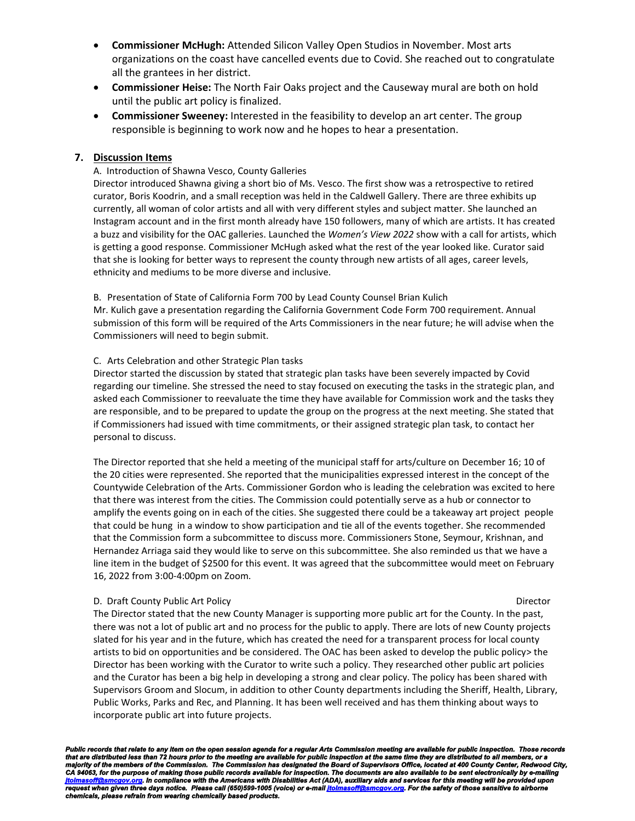- **Commissioner McHugh:** Attended Silicon Valley Open Studios in November. Most arts organizations on the coast have cancelled events due to Covid. She reached out to congratulate all the grantees in her district.
- **Commissioner Heise:** The North Fair Oaks project and the Causeway mural are both on hold until the public art policy is finalized.
- **Commissioner Sweeney:** Interested in the feasibility to develop an art center. The group responsible is beginning to work now and he hopes to hear a presentation.

### **7. Discussion Items**

#### A. Introduction of Shawna Vesco, County Galleries

Director introduced Shawna giving a short bio of Ms. Vesco. The first show was a retrospective to retired curator, Boris Koodrin, and a small reception was held in the Caldwell Gallery. There are three exhibits up currently, all woman of color artists and all with very different styles and subject matter. She launched an Instagram account and in the first month already have 150 followers, many of which are artists. It has created a buzz and visibility for the OAC galleries. Launched the *Women's View 2022* show with a call for artists, which is getting a good response. Commissioner McHugh asked what the rest of the year looked like. Curator said that she is looking for better ways to represent the county through new artists of all ages, career levels, ethnicity and mediums to be more diverse and inclusive.

B. Presentation of State of California Form 700 by Lead County Counsel Brian Kulich

Mr. Kulich gave a presentation regarding the California Government Code Form 700 requirement. Annual submission of this form will be required of the Arts Commissioners in the near future; he will advise when the Commissioners will need to begin submit.

#### C. Arts Celebration and other Strategic Plan tasks

Director started the discussion by stated that strategic plan tasks have been severely impacted by Covid regarding our timeline. She stressed the need to stay focused on executing the tasks in the strategic plan, and asked each Commissioner to reevaluate the time they have available for Commission work and the tasks they are responsible, and to be prepared to update the group on the progress at the next meeting. She stated that if Commissioners had issued with time commitments, or their assigned strategic plan task, to contact her personal to discuss.

The Director reported that she held a meeting of the municipal staff for arts/culture on December 16; 10 of the 20 cities were represented. She reported that the municipalities expressed interest in the concept of the Countywide Celebration of the Arts. Commissioner Gordon who is leading the celebration was excited to here that there was interest from the cities. The Commission could potentially serve as a hub or connector to amplify the events going on in each of the cities. She suggested there could be a takeaway art project people that could be hung in a window to show participation and tie all of the events together. She recommended that the Commission form a subcommittee to discuss more. Commissioners Stone, Seymour, Krishnan, and Hernandez Arriaga said they would like to serve on this subcommittee. She also reminded us that we have a line item in the budget of \$2500 for this event. It was agreed that the subcommittee would meet on February 16, 2022 from 3:00-4:00pm on Zoom.

#### D. Draft County Public Art Policy Director

The Director stated that the new County Manager is supporting more public art for the County. In the past, there was not a lot of public art and no process for the public to apply. There are lots of new County projects slated for his year and in the future, which has created the need for a transparent process for local county artists to bid on opportunities and be considered. The OAC has been asked to develop the public policy> the Director has been working with the Curator to write such a policy. They researched other public art policies and the Curator has been a big help in developing a strong and clear policy. The policy has been shared with Supervisors Groom and Slocum, in addition to other County departments including the Sheriff, Health, Library, Public Works, Parks and Rec, and Planning. It has been well received and has them thinking about ways to incorporate public art into future projects.

Public records that relate to any item on the open session agenda for a regular Arts Commission meeting are available for public inspection. Those records<br>that are distributed less than 72 hours prior to the meeting are av *request when given three days notice. Please call (650)599-1005 (voice) or e-mai[l jtolmasoff@smcgov.org.](mailto:jtolmasoff@smcgov.org) For the safety of those sensitive to airborne chemicals, please refrain from wearing chemically based products.*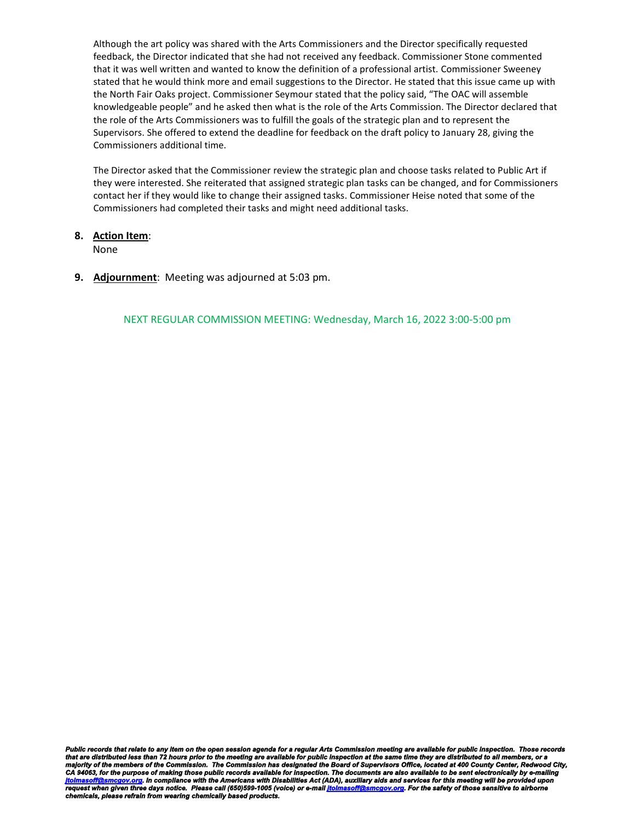Although the art policy was shared with the Arts Commissioners and the Director specifically requested feedback, the Director indicated that she had not received any feedback. Commissioner Stone commented that it was well written and wanted to know the definition of a professional artist. Commissioner Sweeney stated that he would think more and email suggestions to the Director. He stated that this issue came up with the North Fair Oaks project. Commissioner Seymour stated that the policy said, "The OAC will assemble knowledgeable people" and he asked then what is the role of the Arts Commission. The Director declared that the role of the Arts Commissioners was to fulfill the goals of the strategic plan and to represent the Supervisors. She offered to extend the deadline for feedback on the draft policy to January 28, giving the Commissioners additional time.

The Director asked that the Commissioner review the strategic plan and choose tasks related to Public Art if they were interested. She reiterated that assigned strategic plan tasks can be changed, and for Commissioners contact her if they would like to change their assigned tasks. Commissioner Heise noted that some of the Commissioners had completed their tasks and might need additional tasks.

### **8. Action Item**:

None

**9. Adjournment**: Meeting was adjourned at 5:03 pm.

NEXT REGULAR COMMISSION MEETING: Wednesday, March 16, 2022 3:00-5:00 pm

Public records that relate to any item on the open session agenda for a regular Arts Commission meeting are available for public inspection. Those records<br>that are distributed less than 72 hours prior to the meeting are av *request when given three days notice. Please call (650)599-1005 (voice) or e-mai[l jtolmasoff@smcgov.org.](mailto:jtolmasoff@smcgov.org) For the safety of those sensitive to airborne chemicals, please refrain from wearing chemically based products.*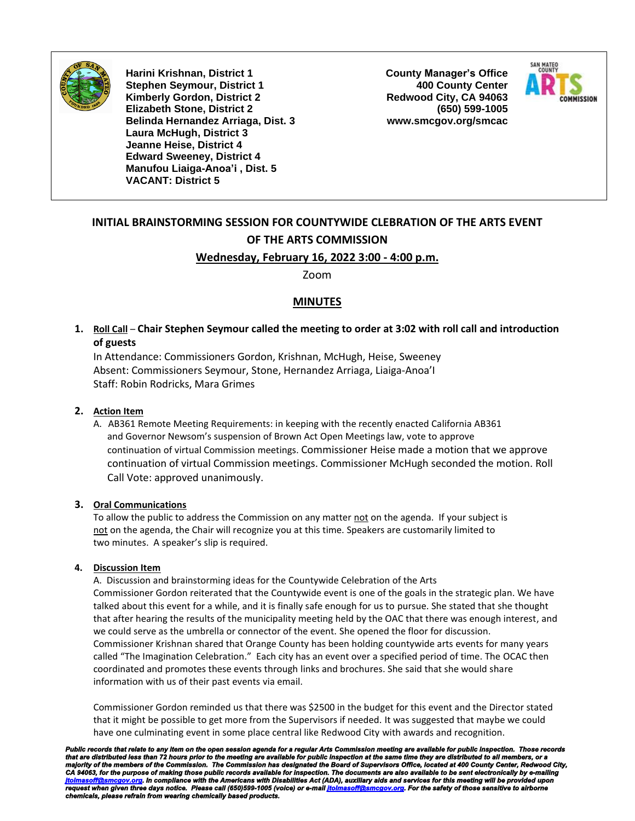

**Harini Krishnan, District 1 Stephen Seymour, District 1 Kimberly Gordon, District 2 Elizabeth Stone, District 2 Belinda Hernandez Arriaga, Dist. 3 Laura McHugh, District 3 Jeanne Heise, District 4 Edward Sweeney, District 4 Manufou Liaiga-Anoa'i , Dist. 5 VACANT: District 5**

**County Manager's Office 400 County Center Redwood City, CA 94063 (650) 599-1005 www.smcgov.org/smcac**



# **INITIAL BRAINSTORMING SESSION FOR COUNTYWIDE CLEBRATION OF THE ARTS EVENT OF THE ARTS COMMISSION Wednesday, February 16, 2022 3:00 - 4:00 p.m.**

Zoom

### **MINUTES**

**1. Roll Call** – **Chair Stephen Seymour called the meeting to order at 3:02 with roll call and introduction of guests**

In Attendance: Commissioners Gordon, Krishnan, McHugh, Heise, Sweeney Absent: Commissioners Seymour, Stone, Hernandez Arriaga, Liaiga-Anoa'I Staff: Robin Rodricks, Mara Grimes

### **2. Action Item**

A. AB361 Remote Meeting Requirements: in keeping with the recently enacted California AB361 and Governor Newsom's suspension of Brown Act Open Meetings law, vote to approve continuation of virtual Commission meetings. Commissioner Heise made a motion that we approve continuation of virtual Commission meetings. Commissioner McHugh seconded the motion. Roll Call Vote: approved unanimously.

### **3. Oral Communications**

To allow the public to address the Commission on any matter not on the agenda. If your subject is not on the agenda, the Chair will recognize you at this time. Speakers are customarily limited to two minutes. A speaker's slip is required.

### **4. Discussion Item**

A. Discussion and brainstorming ideas for the Countywide Celebration of the Arts Commissioner Gordon reiterated that the Countywide event is one of the goals in the strategic plan. We have talked about this event for a while, and it is finally safe enough for us to pursue. She stated that she thought that after hearing the results of the municipality meeting held by the OAC that there was enough interest, and we could serve as the umbrella or connector of the event. She opened the floor for discussion. Commissioner Krishnan shared that Orange County has been holding countywide arts events for many years called "The Imagination Celebration." Each city has an event over a specified period of time. The OCAC then coordinated and promotes these events through links and brochures. She said that she would share information with us of their past events via email.

Commissioner Gordon reminded us that there was \$2500 in the budget for this event and the Director stated that it might be possible to get more from the Supervisors if needed. It was suggested that maybe we could have one culminating event in some place central like Redwood City with awards and recognition.

Public records that relate to any item on the open session agenda for a regular Arts Commission meeting are available for public inspection. Those rec that are distributed less than 72 hours prior to the meeting are available for public inspection at the same time they are distributed to all members, or a<br>majority of the members of the Commission. The Commission has desi *request when given three days notice. Please call (650)599-1005 (voice) or e-mai[l jtolmasoff@smcgov.org.](mailto:jtolmasoff@smcgov.org) For the safety of those sensitive to airborne chemicals, please refrain from wearing chemically based products.*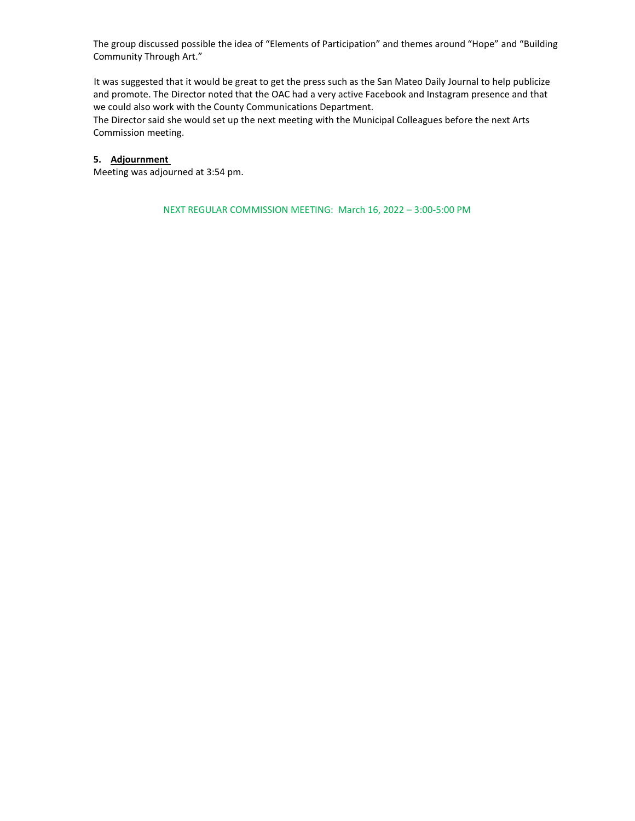The group discussed possible the idea of "Elements of Participation" and themes around "Hope" and "Building Community Through Art."

It was suggested that it would be great to get the press such as the San Mateo Daily Journal to help publicize and promote. The Director noted that the OAC had a very active Facebook and Instagram presence and that we could also work with the County Communications Department.

The Director said she would set up the next meeting with the Municipal Colleagues before the next Arts Commission meeting.

### **5. Adjournment**

Meeting was adjourned at 3:54 pm.

NEXT REGULAR COMMISSION MEETING: March 16, 2022 – 3:00-5:00 PM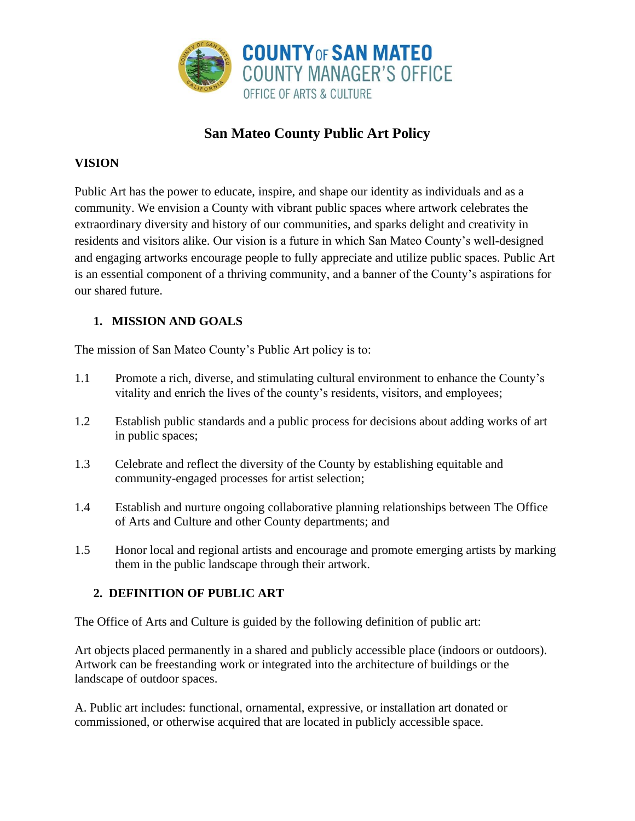

# **San Mateo County Public Art Policy**

# **VISION**

Public Art has the power to educate, inspire, and shape our identity as individuals and as a community. We envision a County with vibrant public spaces where artwork celebrates the extraordinary diversity and history of our communities, and sparks delight and creativity in residents and visitors alike. Our vision is a future in which San Mateo County's well-designed and engaging artworks encourage people to fully appreciate and utilize public spaces. Public Art is an essential component of a thriving community, and a banner of the County's aspirations for our shared future.

# **1. MISSION AND GOALS**

The mission of San Mateo County's Public Art policy is to:

- 1.1 Promote a rich, diverse, and stimulating cultural environment to enhance the County's vitality and enrich the lives of the county's residents, visitors, and employees;
- 1.2 Establish public standards and a public process for decisions about adding works of art in public spaces;
- 1.3 Celebrate and reflect the diversity of the County by establishing equitable and community-engaged processes for artist selection;
- 1.4 Establish and nurture ongoing collaborative planning relationships between The Office of Arts and Culture and other County departments; and
- 1.5 Honor local and regional artists and encourage and promote emerging artists by marking them in the public landscape through their artwork.

# **2. DEFINITION OF PUBLIC ART**

The Office of Arts and Culture is guided by the following definition of public art:

Art objects placed permanently in a shared and publicly accessible place (indoors or outdoors). Artwork can be freestanding work or integrated into the architecture of buildings or the landscape of outdoor spaces.

A. Public art includes: functional, ornamental, expressive, or installation art donated or commissioned, or otherwise acquired that are located in publicly accessible space.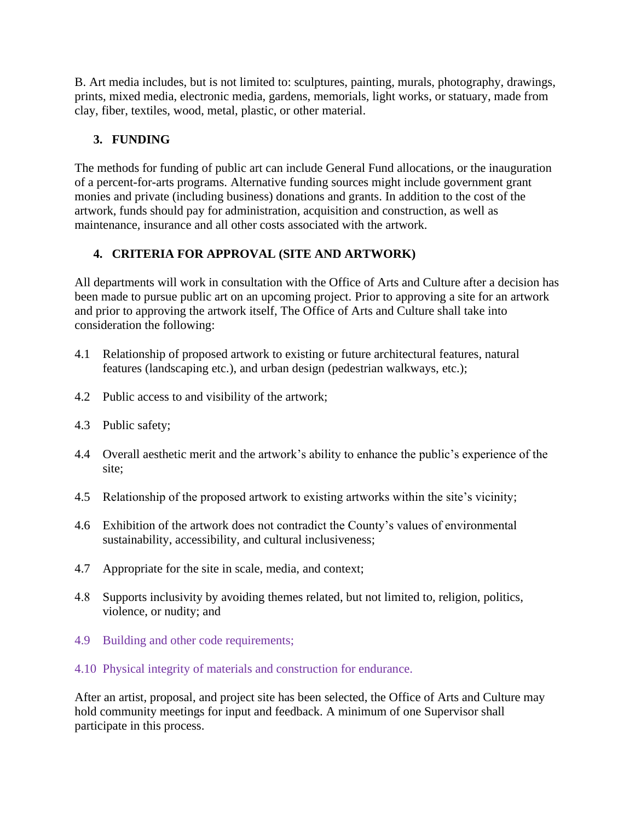B. Art media includes, but is not limited to: sculptures, painting, murals, photography, drawings, prints, mixed media, electronic media, gardens, memorials, light works, or statuary, made from clay, fiber, textiles, wood, metal, plastic, or other material.

# **3. FUNDING**

The methods for funding of public art can include General Fund allocations, or the inauguration of a percent-for-arts programs. Alternative funding sources might include government grant monies and private (including business) donations and grants. In addition to the cost of the artwork, funds should pay for administration, acquisition and construction, as well as maintenance, insurance and all other costs associated with the artwork.

# **4. CRITERIA FOR APPROVAL (SITE AND ARTWORK)**

All departments will work in consultation with the Office of Arts and Culture after a decision has been made to pursue public art on an upcoming project. Prior to approving a site for an artwork and prior to approving the artwork itself, The Office of Arts and Culture shall take into consideration the following:

- 4.1 Relationship of proposed artwork to existing or future architectural features, natural features (landscaping etc.), and urban design (pedestrian walkways, etc.);
- 4.2 Public access to and visibility of the artwork;
- 4.3 Public safety;
- 4.4 Overall aesthetic merit and the artwork's ability to enhance the public's experience of the site;
- 4.5 Relationship of the proposed artwork to existing artworks within the site's vicinity;
- 4.6 Exhibition of the artwork does not contradict the County's values of environmental sustainability, accessibility, and cultural inclusiveness;
- 4.7 Appropriate for the site in scale, media, and context;
- 4.8 Supports inclusivity by avoiding themes related, but not limited to, religion, politics, violence, or nudity; and
- 4.9 Building and other code requirements;
- 4.10 Physical integrity of materials and construction for endurance.

After an artist, proposal, and project site has been selected, the Office of Arts and Culture may hold community meetings for input and feedback. A minimum of one Supervisor shall participate in this process.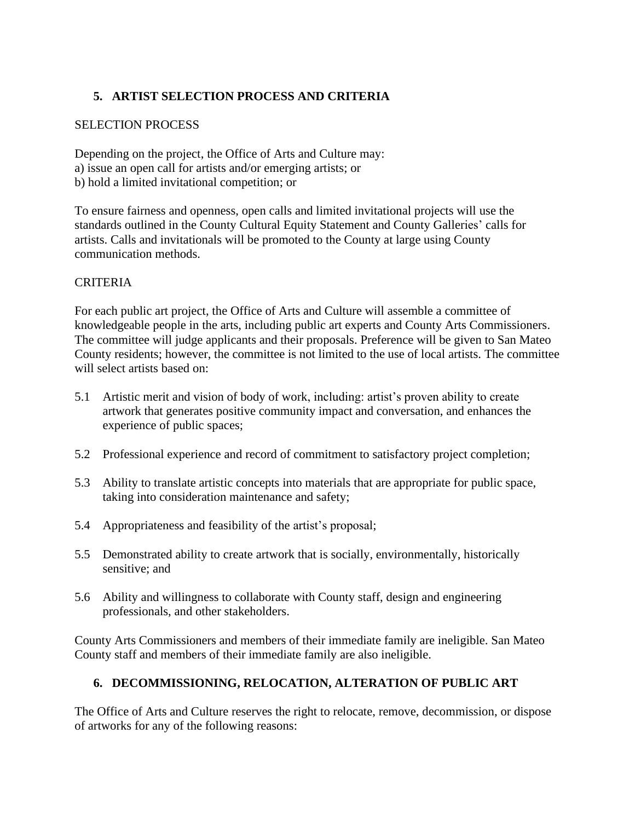# **5. ARTIST SELECTION PROCESS AND CRITERIA**

## SELECTION PROCESS

Depending on the project, the Office of Arts and Culture may: a) issue an open call for artists and/or emerging artists; or b) hold a limited invitational competition; or

To ensure fairness and openness, open calls and limited invitational projects will use the standards outlined in the County Cultural Equity Statement and County Galleries' calls for artists. Calls and invitationals will be promoted to the County at large using County communication methods.

# **CRITERIA**

For each public art project, the Office of Arts and Culture will assemble a committee of knowledgeable people in the arts, including public art experts and County Arts Commissioners. The committee will judge applicants and their proposals. Preference will be given to San Mateo County residents; however, the committee is not limited to the use of local artists. The committee will select artists based on:

- 5.1 Artistic merit and vision of body of work, including: artist's proven ability to create artwork that generates positive community impact and conversation, and enhances the experience of public spaces;
- 5.2 Professional experience and record of commitment to satisfactory project completion;
- 5.3 Ability to translate artistic concepts into materials that are appropriate for public space, taking into consideration maintenance and safety;
- 5.4 Appropriateness and feasibility of the artist's proposal;
- 5.5 Demonstrated ability to create artwork that is socially, environmentally, historically sensitive; and
- 5.6 Ability and willingness to collaborate with County staff, design and engineering professionals, and other stakeholders.

County Arts Commissioners and members of their immediate family are ineligible. San Mateo County staff and members of their immediate family are also ineligible.

# **6. DECOMMISSIONING, RELOCATION, ALTERATION OF PUBLIC ART**

The Office of Arts and Culture reserves the right to relocate, remove, decommission, or dispose of artworks for any of the following reasons: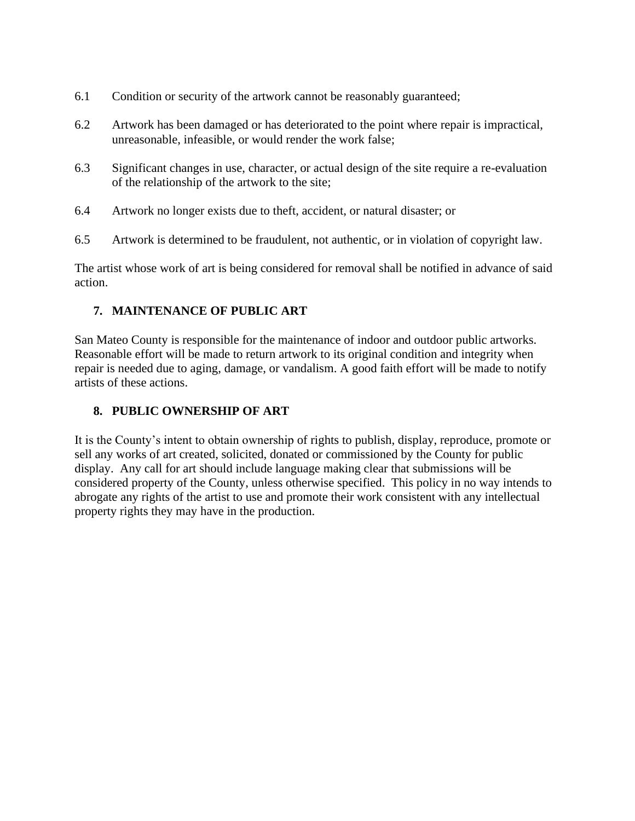- 6.1 Condition or security of the artwork cannot be reasonably guaranteed;
- 6.2 Artwork has been damaged or has deteriorated to the point where repair is impractical, unreasonable, infeasible, or would render the work false;
- 6.3 Significant changes in use, character, or actual design of the site require a re-evaluation of the relationship of the artwork to the site;
- 6.4 Artwork no longer exists due to theft, accident, or natural disaster; or
- 6.5 Artwork is determined to be fraudulent, not authentic, or in violation of copyright law.

The artist whose work of art is being considered for removal shall be notified in advance of said action.

## **7. MAINTENANCE OF PUBLIC ART**

San Mateo County is responsible for the maintenance of indoor and outdoor public artworks. Reasonable effort will be made to return artwork to its original condition and integrity when repair is needed due to aging, damage, or vandalism. A good faith effort will be made to notify artists of these actions.

## **8. PUBLIC OWNERSHIP OF ART**

It is the County's intent to obtain ownership of rights to publish, display, reproduce, promote or sell any works of art created, solicited, donated or commissioned by the County for public display. Any call for art should include language making clear that submissions will be considered property of the County, unless otherwise specified. This policy in no way intends to abrogate any rights of the artist to use and promote their work consistent with any intellectual property rights they may have in the production.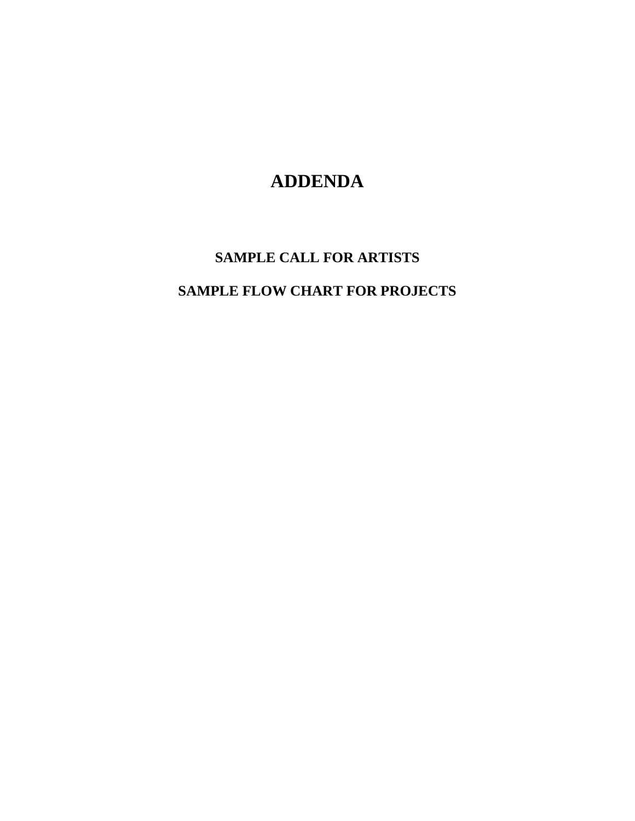# **ADDENDA**

# **SAMPLE CALL FOR ARTISTS SAMPLE FLOW CHART FOR PROJECTS**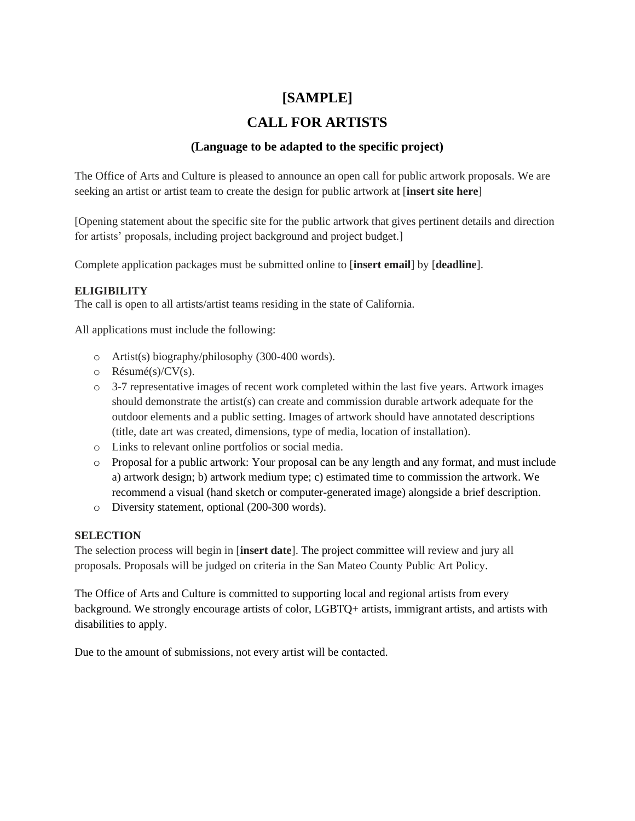# **[SAMPLE]**

# **CALL FOR ARTISTS**

# **(Language to be adapted to the specific project)**

The Office of Arts and Culture is pleased to announce an open call for public artwork proposals. We are seeking an artist or artist team to create the design for public artwork at [**insert site here**]

[Opening statement about the specific site for the public artwork that gives pertinent details and direction for artists' proposals, including project background and project budget.]

Complete application packages must be submitted online to [**insert email**] by [**deadline**].

### **ELIGIBILITY**

The call is open to all artists/artist teams residing in the state of California.

All applications must include the following:

- o Artist(s) biography/philosophy (300-400 words).
- o Résumé(s)/CV(s).
- o 3-7 representative images of recent work completed within the last five years. Artwork images should demonstrate the artist(s) can create and commission durable artwork adequate for the outdoor elements and a public setting. Images of artwork should have annotated descriptions (title, date art was created, dimensions, type of media, location of installation).
- o Links to relevant online portfolios or social media.
- o Proposal for a public artwork: Your proposal can be any length and any format, and must include a) artwork design; b) artwork medium type; c) estimated time to commission the artwork. We recommend a visual (hand sketch or computer-generated image) alongside a brief description.
- o Diversity statement, optional (200-300 words).

### **SELECTION**

The selection process will begin in [**insert date**]. The project committee will review and jury all proposals. Proposals will be judged on criteria in the San Mateo County Public Art Policy.

The Office of Arts and Culture is committed to supporting local and regional artists from every background. We strongly encourage artists of color, LGBTQ+ artists, immigrant artists, and artists with disabilities to apply.

Due to the amount of submissions, not every artist will be contacted.